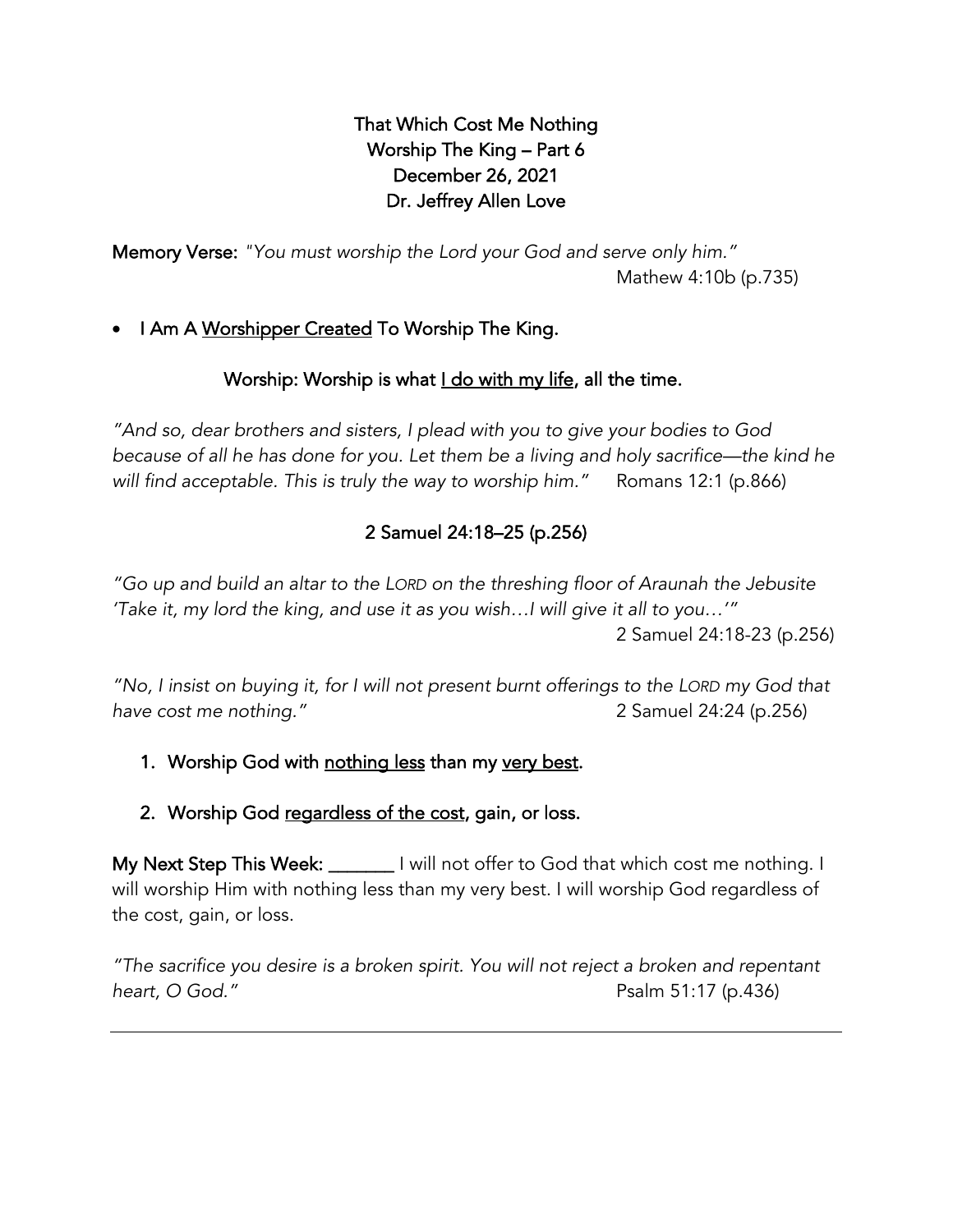# That Which Cost Me Nothing Worship The King – Part 6 December 26, 2021 Dr. Jeffrey Allen Love

Memory Verse: *"You must worship the Lord your God and serve only him."* Mathew 4:10b (p.735)

# • I Am A Worshipper Created To Worship The King.

# Worship: Worship is what I do with my life, all the time.

*"And so, dear brothers and sisters, I plead with you to give your bodies to God because of all he has done for you. Let them be a living and holy sacrifice—the kind he will find acceptable. This is truly the way to worship him."* Romans 12:1 (p.866)

# 2 Samuel 24:18–25 (p.256)

*"Go up and build an altar to the LORD on the threshing floor of Araunah the Jebusite 'Take it, my lord the king, and use it as you wish…I will give it all to you…'"* 2 Samuel 24:18-23 (p.256)

*"No, I insist on buying it, for I will not present burnt offerings to the LORD my God that have cost me nothing."* 2 Samuel 24:24 (p.256)

# 1. Worship God with nothing less than my very best.

## 2. Worship God regardless of the cost, gain, or loss.

My Next Step This Week: \_\_\_\_\_\_\_ I will not offer to God that which cost me nothing. I will worship Him with nothing less than my very best. I will worship God regardless of the cost, gain, or loss.

*"The sacrifice you desire is a broken spirit. You will not reject a broken and repentant heart, O God."* Psalm 51:17 (p.436)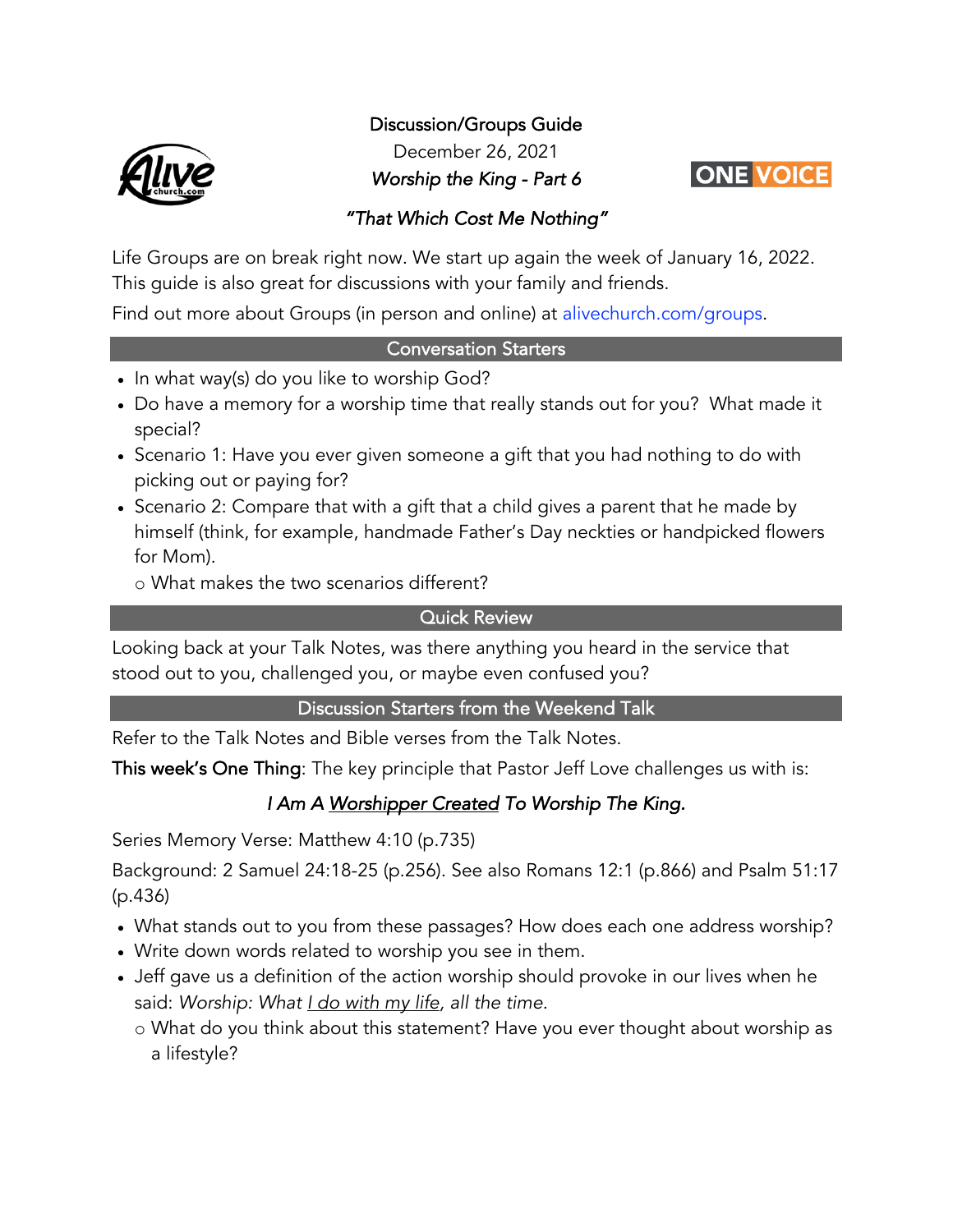

Discussion/Groups Guide

December 26, 2021

*Worship the King - Part 6* 



## *"That Which Cost Me Nothing"*

Life Groups are on break right now. We start up again the week of January 16, 2022. This guide is also great for discussions with your family and friends.

Find out more about Groups (in person and online) at alivechurch.com/groups.

#### Conversation Starters

- In what way(s) do you like to worship God?
- Do have a memory for a worship time that really stands out for you? What made it special?
- Scenario 1: Have you ever given someone a gift that you had nothing to do with picking out or paying for?
- Scenario 2: Compare that with a gift that a child gives a parent that he made by himself (think, for example, handmade Father's Day neckties or handpicked flowers for Mom).

o What makes the two scenarios different?

## Quick Review

Looking back at your Talk Notes, was there anything you heard in the service that stood out to you, challenged you, or maybe even confused you?

## Discussion Starters from the Weekend Talk

Refer to the Talk Notes and Bible verses from the Talk Notes.

This week's One Thing: The key principle that Pastor Jeff Love challenges us with is:

# *I Am A Worshipper Created To Worship The King.*

Series Memory Verse: Matthew 4:10 (p.735)

Background: 2 Samuel 24:18-25 (p.256). See also Romans 12:1 (p.866) and Psalm 51:17 (p.436)

- What stands out to you from these passages? How does each one address worship?
- Write down words related to worship you see in them.
- Jeff gave us a definition of the action worship should provoke in our lives when he said: *Worship: What I do with my life, all the time.*
	- o What do you think about this statement? Have you ever thought about worship as a lifestyle?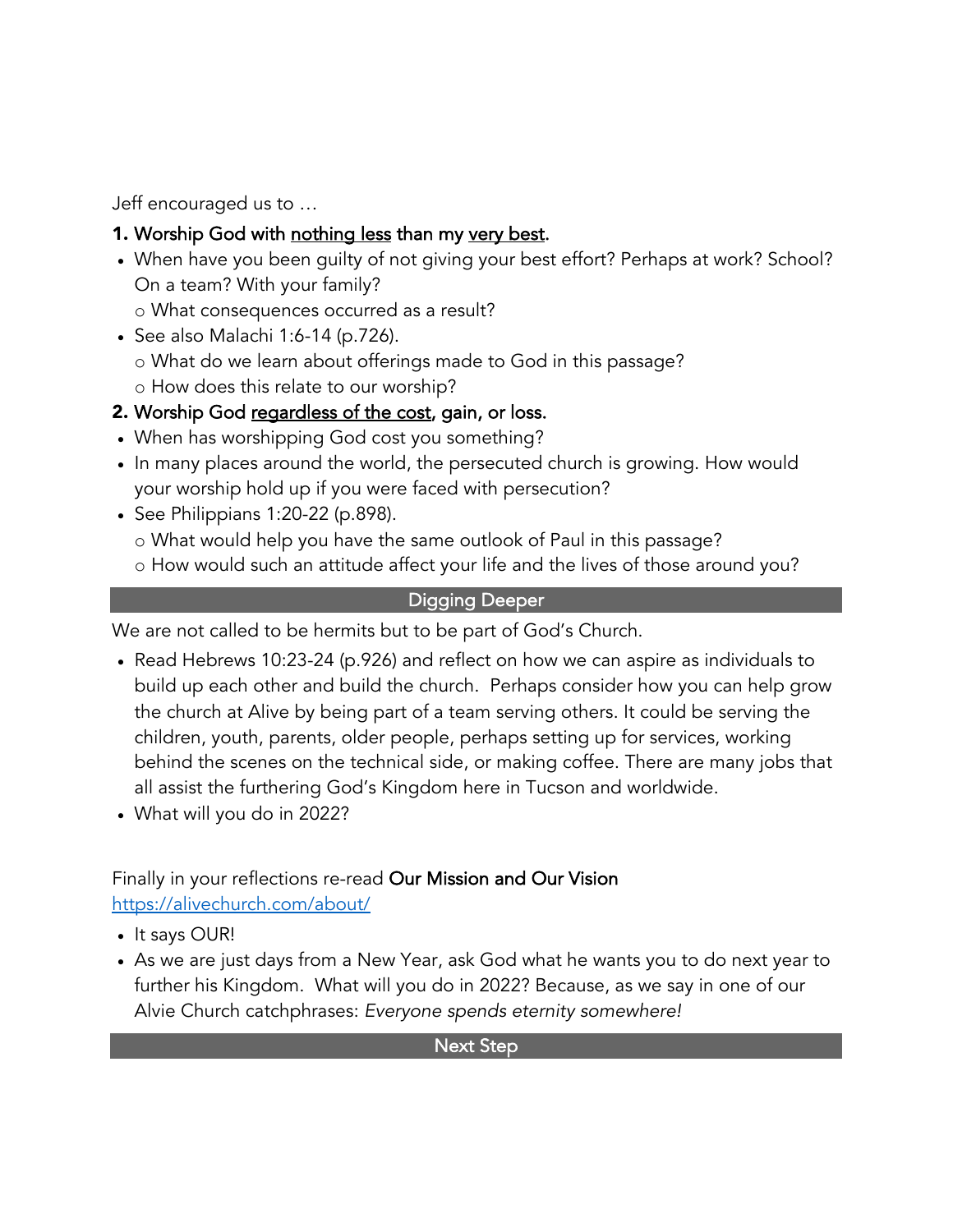Jeff encouraged us to …

- 1. Worship God with nothing less than my very best.
- When have you been guilty of not giving your best effort? Perhaps at work? School? On a team? With your family?
	- o What consequences occurred as a result?
- See also Malachi 1:6-14 (p.726).
	- o What do we learn about offerings made to God in this passage?
	- o How does this relate to our worship?

# 2. Worship God regardless of the cost, gain, or loss.

- When has worshipping God cost you something?
- In many places around the world, the persecuted church is growing. How would your worship hold up if you were faced with persecution?
- See Philippians 1:20-22 (p.898).
	- o What would help you have the same outlook of Paul in this passage?
	- o How would such an attitude affect your life and the lives of those around you?

# Digging Deeper

We are not called to be hermits but to be part of God's Church.

- Read Hebrews 10:23-24 (p.926) and reflect on how we can aspire as individuals to build up each other and build the church. Perhaps consider how you can help grow the church at Alive by being part of a team serving others. It could be serving the children, youth, parents, older people, perhaps setting up for services, working behind the scenes on the technical side, or making coffee. There are many jobs that all assist the furthering God's Kingdom here in Tucson and worldwide.
- What will you do in 2022?

# Finally in your reflections re-read Our Mission and Our Vision https://alivechurch.com/about/

- It says OUR!
- As we are just days from a New Year, ask God what he wants you to do next year to further his Kingdom. What will you do in 2022? Because, as we say in one of our Alvie Church catchphrases: *Everyone spends eternity somewhere!*